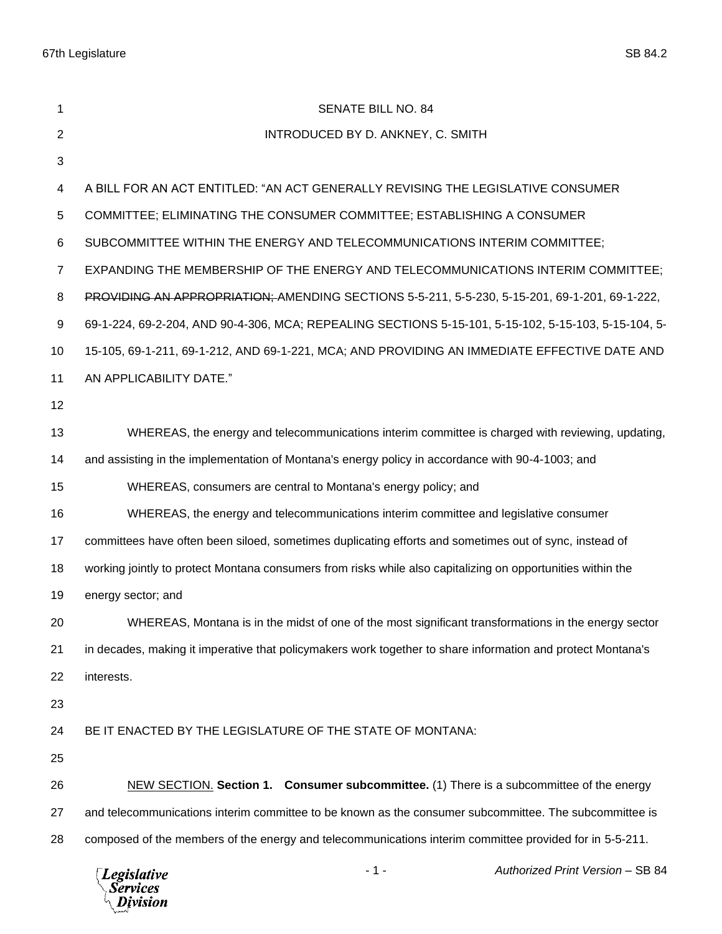| 1              | <b>SENATE BILL NO. 84</b>                                                                                   |
|----------------|-------------------------------------------------------------------------------------------------------------|
| 2              | INTRODUCED BY D. ANKNEY, C. SMITH                                                                           |
| 3              |                                                                                                             |
| 4              | A BILL FOR AN ACT ENTITLED: "AN ACT GENERALLY REVISING THE LEGISLATIVE CONSUMER                             |
| 5              | COMMITTEE; ELIMINATING THE CONSUMER COMMITTEE; ESTABLISHING A CONSUMER                                      |
| 6              | SUBCOMMITTEE WITHIN THE ENERGY AND TELECOMMUNICATIONS INTERIM COMMITTEE;                                    |
| $\overline{7}$ | EXPANDING THE MEMBERSHIP OF THE ENERGY AND TELECOMMUNICATIONS INTERIM COMMITTEE;                            |
| 8              | PROVIDING AN APPROPRIATION; AMENDING SECTIONS 5-5-211, 5-5-230, 5-15-201, 69-1-201, 69-1-222,               |
| 9              | 69-1-224, 69-2-204, AND 90-4-306, MCA; REPEALING SECTIONS 5-15-101, 5-15-102, 5-15-103, 5-15-104, 5-        |
| 10             | 15-105, 69-1-211, 69-1-212, AND 69-1-221, MCA; AND PROVIDING AN IMMEDIATE EFFECTIVE DATE AND                |
| 11             | AN APPLICABILITY DATE."                                                                                     |
| 12             |                                                                                                             |
| 13             | WHEREAS, the energy and telecommunications interim committee is charged with reviewing, updating,           |
| 14             | and assisting in the implementation of Montana's energy policy in accordance with 90-4-1003; and            |
| 15             | WHEREAS, consumers are central to Montana's energy policy; and                                              |
| 16             | WHEREAS, the energy and telecommunications interim committee and legislative consumer                       |
| 17             | committees have often been siloed, sometimes duplicating efforts and sometimes out of sync, instead of      |
| 18             | working jointly to protect Montana consumers from risks while also capitalizing on opportunities within the |
| 19             | energy sector; and                                                                                          |
| 20             | WHEREAS, Montana is in the midst of one of the most significant transformations in the energy sector        |
| 21             | in decades, making it imperative that policymakers work together to share information and protect Montana's |
| 22             | interests.                                                                                                  |
| 23             |                                                                                                             |
| 24             | BE IT ENACTED BY THE LEGISLATURE OF THE STATE OF MONTANA:                                                   |
| 25             |                                                                                                             |
| 26             | NEW SECTION. Section 1. Consumer subcommittee. (1) There is a subcommittee of the energy                    |
| 27             | and telecommunications interim committee to be known as the consumer subcommittee. The subcommittee is      |
| 28             | composed of the members of the energy and telecommunications interim committee provided for in 5-5-211.     |
|                |                                                                                                             |

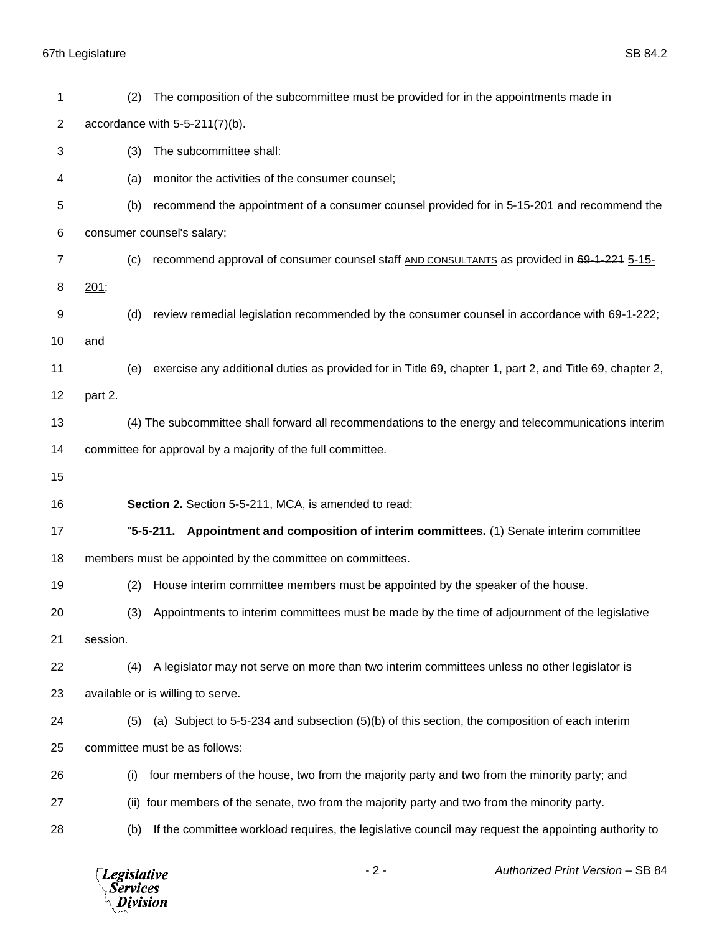|                | <b>Legislative</b><br><b>Services</b><br>Division           | $-2-$<br>Authorized Print Version - SB 84                                                               |  |  |
|----------------|-------------------------------------------------------------|---------------------------------------------------------------------------------------------------------|--|--|
| 28             | (b)                                                         | If the committee workload requires, the legislative council may request the appointing authority to     |  |  |
| 27             | (ii)                                                        | four members of the senate, two from the majority party and two from the minority party.                |  |  |
| 26             | (i)                                                         | four members of the house, two from the majority party and two from the minority party; and             |  |  |
| 25             |                                                             | committee must be as follows:                                                                           |  |  |
| 24             | (5)                                                         | (a) Subject to 5-5-234 and subsection (5)(b) of this section, the composition of each interim           |  |  |
| 23             |                                                             | available or is willing to serve.                                                                       |  |  |
| 22             | (4)                                                         | A legislator may not serve on more than two interim committees unless no other legislator is            |  |  |
| 21             | session.                                                    |                                                                                                         |  |  |
| 20             | (3)                                                         | Appointments to interim committees must be made by the time of adjournment of the legislative           |  |  |
| 19             | (2)                                                         | House interim committee members must be appointed by the speaker of the house.                          |  |  |
| 18             | members must be appointed by the committee on committees.   |                                                                                                         |  |  |
| 17             |                                                             | "5-5-211. Appointment and composition of interim committees. (1) Senate interim committee               |  |  |
| 16             |                                                             | Section 2. Section 5-5-211, MCA, is amended to read:                                                    |  |  |
| 15             |                                                             |                                                                                                         |  |  |
| 14             | committee for approval by a majority of the full committee. |                                                                                                         |  |  |
| 13             |                                                             | (4) The subcommittee shall forward all recommendations to the energy and telecommunications interim     |  |  |
| 12             | part 2.                                                     |                                                                                                         |  |  |
| 11             | (e)                                                         | exercise any additional duties as provided for in Title 69, chapter 1, part 2, and Title 69, chapter 2, |  |  |
| 9<br>10        | (d)<br>and                                                  | review remedial legislation recommended by the consumer counsel in accordance with 69-1-222;            |  |  |
| 8              | 201;                                                        |                                                                                                         |  |  |
| $\overline{7}$ | (c)                                                         | recommend approval of consumer counsel staff AND CONSULTANTS as provided in 69-1-221 5-15-              |  |  |
| 6              | consumer counsel's salary;                                  |                                                                                                         |  |  |
| 5              | (b)                                                         | recommend the appointment of a consumer counsel provided for in 5-15-201 and recommend the              |  |  |
| 4              | (a)                                                         | monitor the activities of the consumer counsel;                                                         |  |  |
| 3              | (3)                                                         | The subcommittee shall:                                                                                 |  |  |
| $\overline{2}$ | accordance with $5-5-211(7)(b)$ .                           |                                                                                                         |  |  |
| 1              | (2)                                                         | The composition of the subcommittee must be provided for in the appointments made in                    |  |  |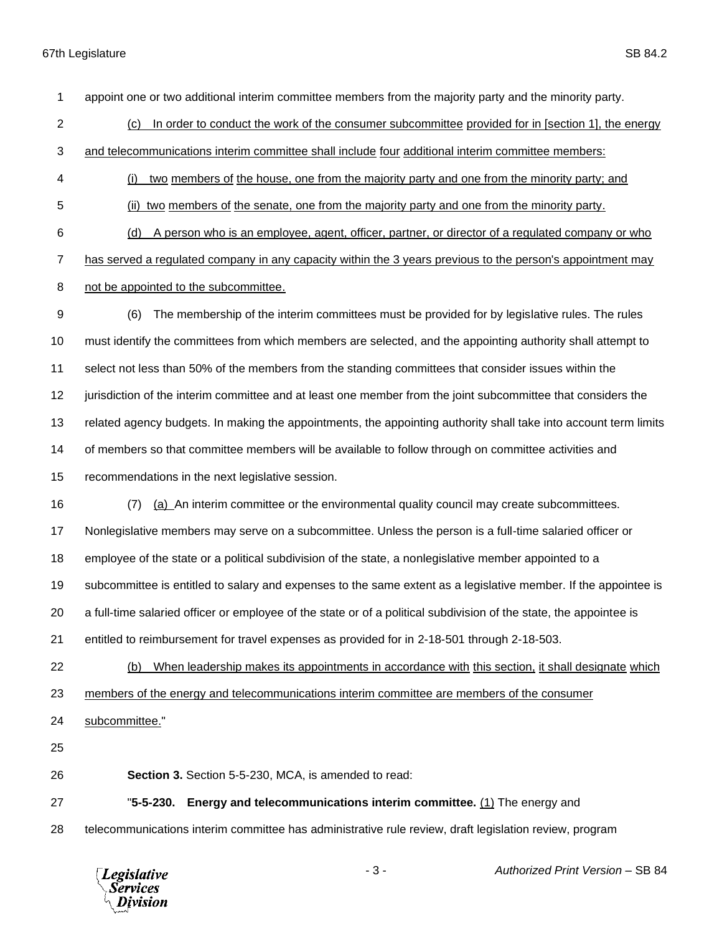appoint one or two additional interim committee members from the majority party and the minority party.

(c) In order to conduct the work of the consumer subcommittee provided for in [section 1], the energy

and telecommunications interim committee shall include four additional interim committee members:

- (i) two members of the house, one from the majority party and one from the minority party; and
- (ii) two members of the senate, one from the majority party and one from the minority party.

(d) A person who is an employee, agent, officer, partner, or director of a regulated company or who

has served a regulated company in any capacity within the 3 years previous to the person's appointment may

not be appointed to the subcommittee.

 (6) The membership of the interim committees must be provided for by legislative rules. The rules must identify the committees from which members are selected, and the appointing authority shall attempt to select not less than 50% of the members from the standing committees that consider issues within the jurisdiction of the interim committee and at least one member from the joint subcommittee that considers the related agency budgets. In making the appointments, the appointing authority shall take into account term limits of members so that committee members will be available to follow through on committee activities and recommendations in the next legislative session.

(7) (a) An interim committee or the environmental quality council may create subcommittees.

Nonlegislative members may serve on a subcommittee. Unless the person is a full-time salaried officer or

employee of the state or a political subdivision of the state, a nonlegislative member appointed to a

subcommittee is entitled to salary and expenses to the same extent as a legislative member. If the appointee is

a full-time salaried officer or employee of the state or of a political subdivision of the state, the appointee is

entitled to reimbursement for travel expenses as provided for in 2-18-501 through 2-18-503.

 (b) When leadership makes its appointments in accordance with this section, it shall designate which members of the energy and telecommunications interim committee are members of the consumer

subcommittee."

**Section 3.** Section 5-5-230, MCA, is amended to read:

"**5-5-230. Energy and telecommunications interim committee.** (1) The energy and

telecommunications interim committee has administrative rule review, draft legislation review, program



- 3 - *Authorized Print Version* – SB 84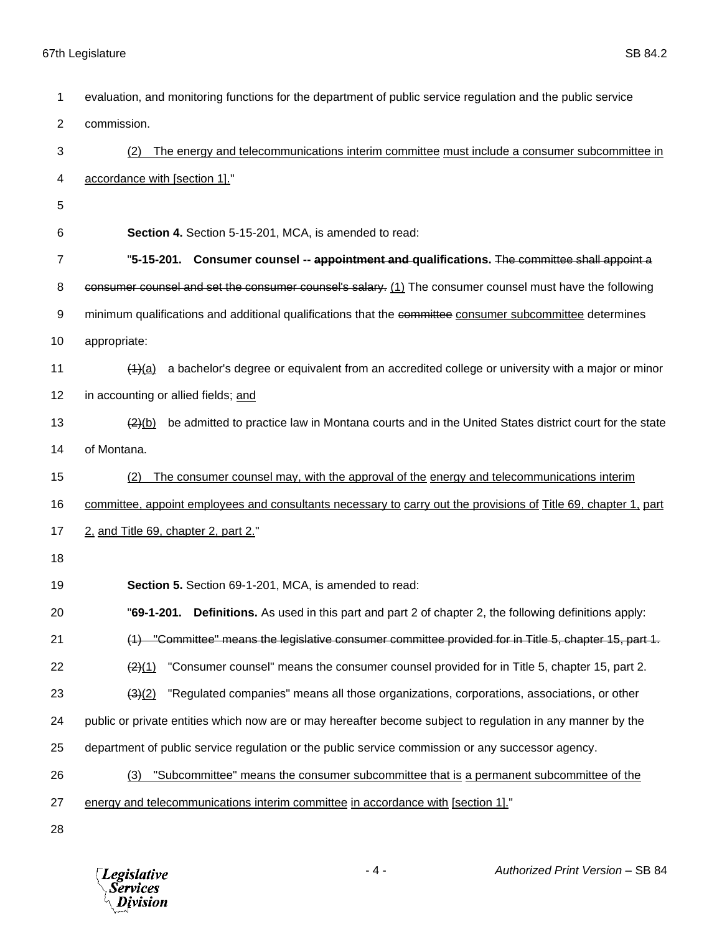| $\mathbf{1}$   | evaluation, and monitoring functions for the department of public service regulation and the public service                   |
|----------------|-------------------------------------------------------------------------------------------------------------------------------|
| $\overline{2}$ | commission.                                                                                                                   |
| 3              | The energy and telecommunications interim committee must include a consumer subcommittee in<br>(2)                            |
| 4              | accordance with [section 1]."                                                                                                 |
| 5              |                                                                                                                               |
| 6              | Section 4. Section 5-15-201, MCA, is amended to read:                                                                         |
| 7              | "5-15-201. Consumer counsel -- appointment and qualifications. The committee shall appoint a                                  |
| 8              | consumer counsel and set the consumer counsel's salary. (1) The consumer counsel must have the following                      |
| 9              | minimum qualifications and additional qualifications that the committee consumer subcommittee determines                      |
| 10             | appropriate:                                                                                                                  |
| 11             | a bachelor's degree or equivalent from an accredited college or university with a major or minor<br>(4)(a)                    |
| 12             | in accounting or allied fields; and                                                                                           |
| 13             | be admitted to practice law in Montana courts and in the United States district court for the state<br>$\left( 2 \right) (b)$ |
| 14             | of Montana.                                                                                                                   |
| 15             | The consumer counsel may, with the approval of the energy and telecommunications interim<br>(2)                               |
| 16             | committee, appoint employees and consultants necessary to carry out the provisions of Title 69, chapter 1, part               |
| 17             | 2, and Title 69, chapter 2, part 2."                                                                                          |
| 18             |                                                                                                                               |
| 19             | Section 5. Section 69-1-201, MCA, is amended to read:                                                                         |
| 20             | "69-1-201. Definitions. As used in this part and part 2 of chapter 2, the following definitions apply:                        |
| 21             | (1) "Committee" means the legislative consumer committee provided for in Title 5, chapter 15, part 1.                         |
| 22             | "Consumer counsel" means the consumer counsel provided for in Title 5, chapter 15, part 2.<br>$\frac{(2)(1)}{2}$              |
| 23             | "Regulated companies" means all those organizations, corporations, associations, or other<br>(3)(2)                           |
| 24             | public or private entities which now are or may hereafter become subject to regulation in any manner by the                   |
| 25             | department of public service regulation or the public service commission or any successor agency.                             |
| 26             | "Subcommittee" means the consumer subcommittee that is a permanent subcommittee of the<br>(3)                                 |
| 27             | energy and telecommunications interim committee in accordance with [section 1]."                                              |
| 28             |                                                                                                                               |

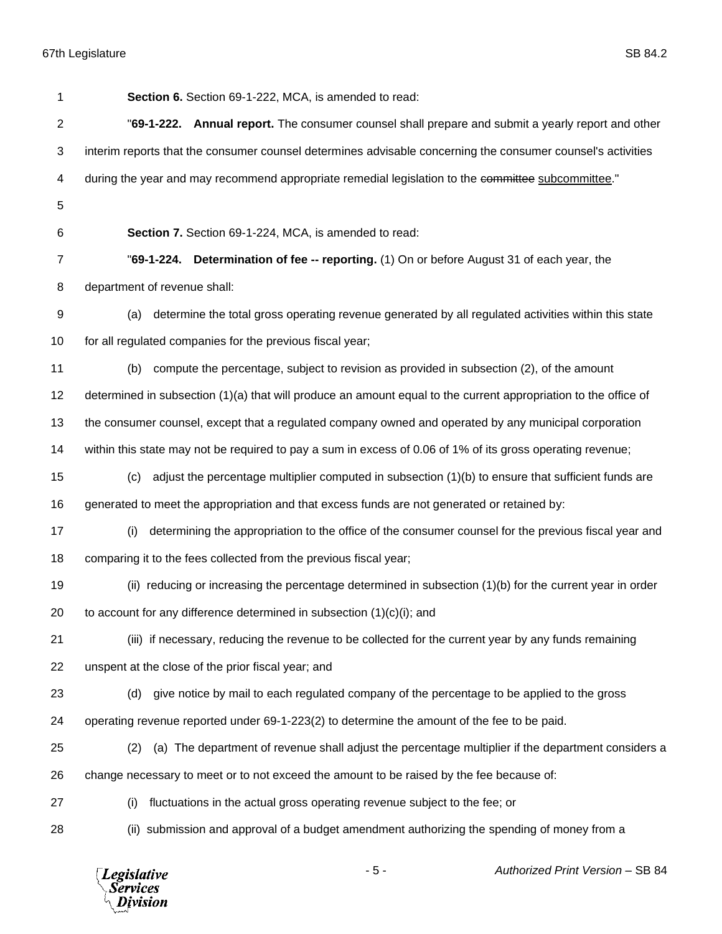*Legislative*<br>Services<br>*Division* 

| 1              | Section 6. Section 69-1-222, MCA, is amended to read:                                                           |
|----------------|-----------------------------------------------------------------------------------------------------------------|
| $\overline{2}$ | "69-1-222. Annual report. The consumer counsel shall prepare and submit a yearly report and other               |
| 3              | interim reports that the consumer counsel determines advisable concerning the consumer counsel's activities     |
| 4              | during the year and may recommend appropriate remedial legislation to the committee subcommittee."              |
| 5              |                                                                                                                 |
| 6              | Section 7. Section 69-1-224, MCA, is amended to read:                                                           |
| $\overline{7}$ | "69-1-224. Determination of fee -- reporting. (1) On or before August 31 of each year, the                      |
| 8              | department of revenue shall:                                                                                    |
| 9              | determine the total gross operating revenue generated by all regulated activities within this state<br>(a)      |
| 10             | for all regulated companies for the previous fiscal year;                                                       |
| 11             | compute the percentage, subject to revision as provided in subsection (2), of the amount<br>(b)                 |
| 12             | determined in subsection (1)(a) that will produce an amount equal to the current appropriation to the office of |
| 13             | the consumer counsel, except that a regulated company owned and operated by any municipal corporation           |
| 14             | within this state may not be required to pay a sum in excess of 0.06 of 1% of its gross operating revenue;      |
| 15             | adjust the percentage multiplier computed in subsection (1)(b) to ensure that sufficient funds are<br>(c)       |
| 16             | generated to meet the appropriation and that excess funds are not generated or retained by:                     |
| 17             | determining the appropriation to the office of the consumer counsel for the previous fiscal year and<br>(i)     |
| 18             | comparing it to the fees collected from the previous fiscal year;                                               |
| 19             | (ii) reducing or increasing the percentage determined in subsection (1)(b) for the current year in order        |
| 20             | to account for any difference determined in subsection $(1)(c)(i)$ ; and                                        |
| 21             | (iii) if necessary, reducing the revenue to be collected for the current year by any funds remaining            |
| 22             | unspent at the close of the prior fiscal year; and                                                              |
| 23             | give notice by mail to each regulated company of the percentage to be applied to the gross<br>(d)               |
| 24             | operating revenue reported under 69-1-223(2) to determine the amount of the fee to be paid.                     |
| 25             | (a) The department of revenue shall adjust the percentage multiplier if the department considers a<br>(2)       |
| 26             | change necessary to meet or to not exceed the amount to be raised by the fee because of:                        |
| 27             | fluctuations in the actual gross operating revenue subject to the fee; or<br>(i)                                |
| 28             | (ii) submission and approval of a budget amendment authorizing the spending of money from a                     |
|                |                                                                                                                 |

- 5 - *Authorized Print Version* – SB 84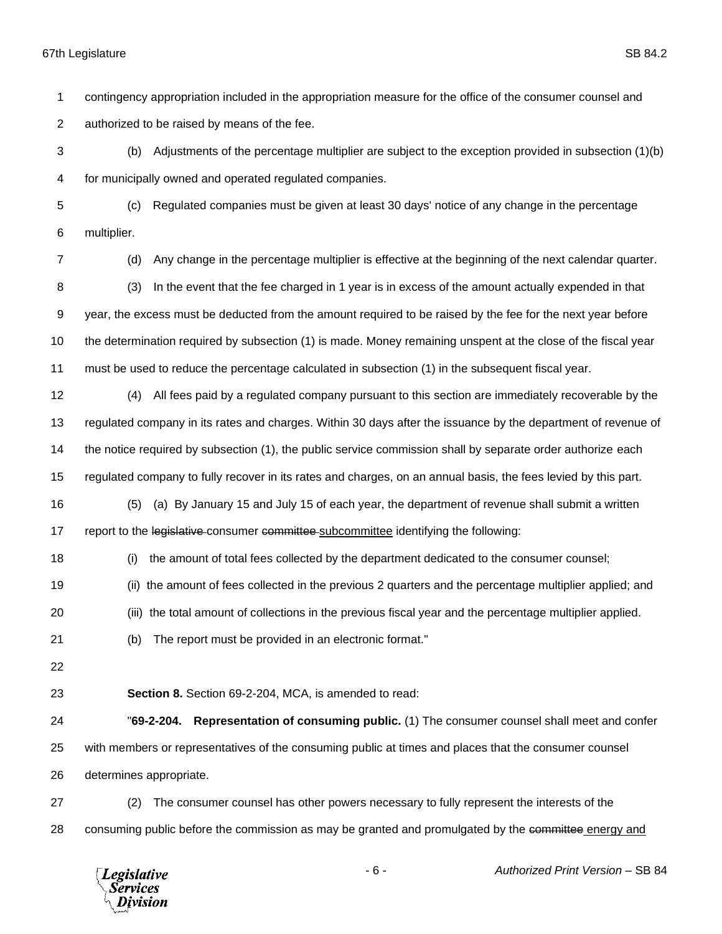contingency appropriation included in the appropriation measure for the office of the consumer counsel and authorized to be raised by means of the fee.

 (b) Adjustments of the percentage multiplier are subject to the exception provided in subsection (1)(b) for municipally owned and operated regulated companies.

 (c) Regulated companies must be given at least 30 days' notice of any change in the percentage multiplier.

 (d) Any change in the percentage multiplier is effective at the beginning of the next calendar quarter. (3) In the event that the fee charged in 1 year is in excess of the amount actually expended in that year, the excess must be deducted from the amount required to be raised by the fee for the next year before the determination required by subsection (1) is made. Money remaining unspent at the close of the fiscal year must be used to reduce the percentage calculated in subsection (1) in the subsequent fiscal year.

 (4) All fees paid by a regulated company pursuant to this section are immediately recoverable by the regulated company in its rates and charges. Within 30 days after the issuance by the department of revenue of the notice required by subsection (1), the public service commission shall by separate order authorize each regulated company to fully recover in its rates and charges, on an annual basis, the fees levied by this part.

- (5) (a) By January 15 and July 15 of each year, the department of revenue shall submit a written 17 report to the legislative consumer committee subcommittee identifying the following:
- (i) the amount of total fees collected by the department dedicated to the consumer counsel;
- (ii) the amount of fees collected in the previous 2 quarters and the percentage multiplier applied; and
- (iii) the total amount of collections in the previous fiscal year and the percentage multiplier applied.
- (b) The report must be provided in an electronic format."
- 
- **Section 8.** Section 69-2-204, MCA, is amended to read:

 "**69-2-204. Representation of consuming public.** (1) The consumer counsel shall meet and confer with members or representatives of the consuming public at times and places that the consumer counsel determines appropriate.

 (2) The consumer counsel has other powers necessary to fully represent the interests of the 28 consuming public before the commission as may be granted and promulgated by the committee energy and



- 6 - *Authorized Print Version* – SB 84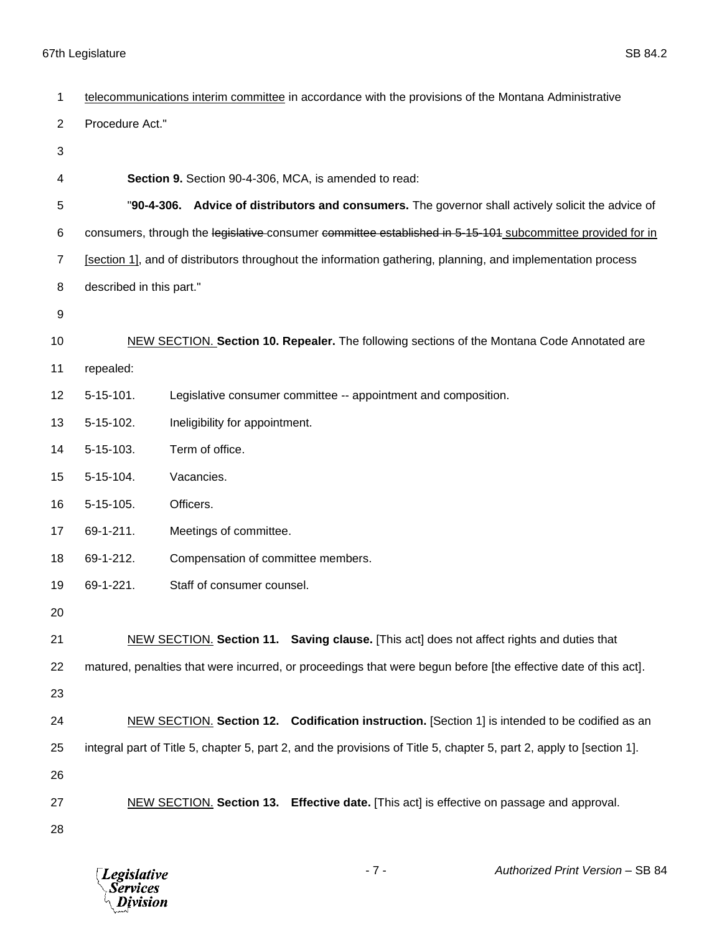| 1              | telecommunications interim committee in accordance with the provisions of the Montana Administrative        |                                                                                                                      |  |
|----------------|-------------------------------------------------------------------------------------------------------------|----------------------------------------------------------------------------------------------------------------------|--|
| $\overline{2}$ | Procedure Act."                                                                                             |                                                                                                                      |  |
| 3              |                                                                                                             |                                                                                                                      |  |
| 4              |                                                                                                             | Section 9. Section 90-4-306, MCA, is amended to read:                                                                |  |
| 5              |                                                                                                             | "90-4-306. Advice of distributors and consumers. The governor shall actively solicit the advice of                   |  |
| 6              | consumers, through the legislative consumer committee established in 5-15-101 subcommittee provided for in  |                                                                                                                      |  |
| 7              | [section 1], and of distributors throughout the information gathering, planning, and implementation process |                                                                                                                      |  |
| 8              | described in this part."                                                                                    |                                                                                                                      |  |
| 9              |                                                                                                             |                                                                                                                      |  |
| 10             | NEW SECTION. Section 10. Repealer. The following sections of the Montana Code Annotated are                 |                                                                                                                      |  |
| 11             | repealed:                                                                                                   |                                                                                                                      |  |
| 12             | $5-15-101.$                                                                                                 | Legislative consumer committee -- appointment and composition.                                                       |  |
| 13             | 5-15-102.                                                                                                   | Ineligibility for appointment.                                                                                       |  |
| 14             | 5-15-103.                                                                                                   | Term of office.                                                                                                      |  |
| 15             | 5-15-104.                                                                                                   | Vacancies.                                                                                                           |  |
| 16             | 5-15-105.                                                                                                   | Officers.                                                                                                            |  |
| 17             | 69-1-211.                                                                                                   | Meetings of committee.                                                                                               |  |
| 18             | 69-1-212.                                                                                                   | Compensation of committee members.                                                                                   |  |
| 19             | 69-1-221.                                                                                                   | Staff of consumer counsel.                                                                                           |  |
| 20             |                                                                                                             |                                                                                                                      |  |
| 21             |                                                                                                             | NEW SECTION. Section 11. Saving clause. [This act] does not affect rights and duties that                            |  |
| 22             |                                                                                                             | matured, penalties that were incurred, or proceedings that were begun before [the effective date of this act].       |  |
| 23             |                                                                                                             |                                                                                                                      |  |
| 24             |                                                                                                             | NEW SECTION. Section 12. Codification instruction. [Section 1] is intended to be codified as an                      |  |
| 25             |                                                                                                             | integral part of Title 5, chapter 5, part 2, and the provisions of Title 5, chapter 5, part 2, apply to [section 1]. |  |
| 26             |                                                                                                             |                                                                                                                      |  |
| 27             |                                                                                                             | NEW SECTION. Section 13. Effective date. [This act] is effective on passage and approval.                            |  |
| 28             |                                                                                                             |                                                                                                                      |  |